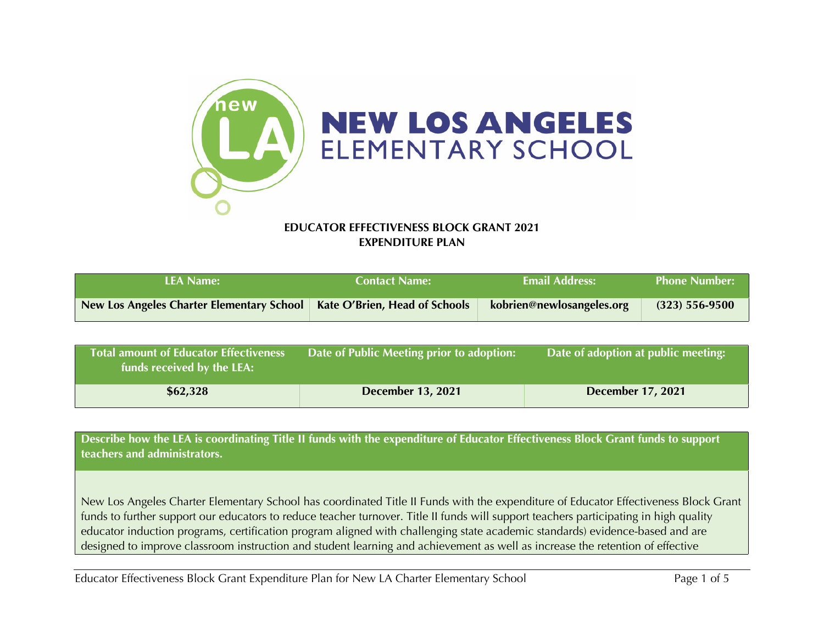

## **EDUCATOR EFFECTIVENESS BLOCK GRANT 2021 EXPENDITURE PLAN**

| <b>LEA Name:</b>                          | <b>Contact Name:</b>                 | <b>Email Address:</b>     | <b>Phone Number:</b> |
|-------------------------------------------|--------------------------------------|---------------------------|----------------------|
| New Los Angeles Charter Elementary School | <b>Kate O'Brien, Head of Schools</b> | kobrien@newlosangeles.org | $(323) 556 - 9500$   |

| <b>Total amount of Educator Effectiveness</b><br>funds received by the LEA: | Date of Public Meeting prior to adoption: | Date of adoption at public meeting: |
|-----------------------------------------------------------------------------|-------------------------------------------|-------------------------------------|
| \$62,328                                                                    | December 13, 2021                         | <b>December 17, 2021</b>            |

**Describe how the LEA is coordinating Title II funds with the expenditure of Educator Effectiveness Block Grant funds to support teachers and administrators.**

New Los Angeles Charter Elementary School has coordinated Title II Funds with the expenditure of Educator Effectiveness Block Grant funds to further support our educators to reduce teacher turnover. Title II funds will support teachers participating in high quality educator induction programs, certification program aligned with challenging state academic standards) evidence-based and are designed to improve classroom instruction and student learning and achievement as well as increase the retention of effective

Educator Effectiveness Block Grant Expenditure Plan for New LA Charter Elementary School Page 1 of 5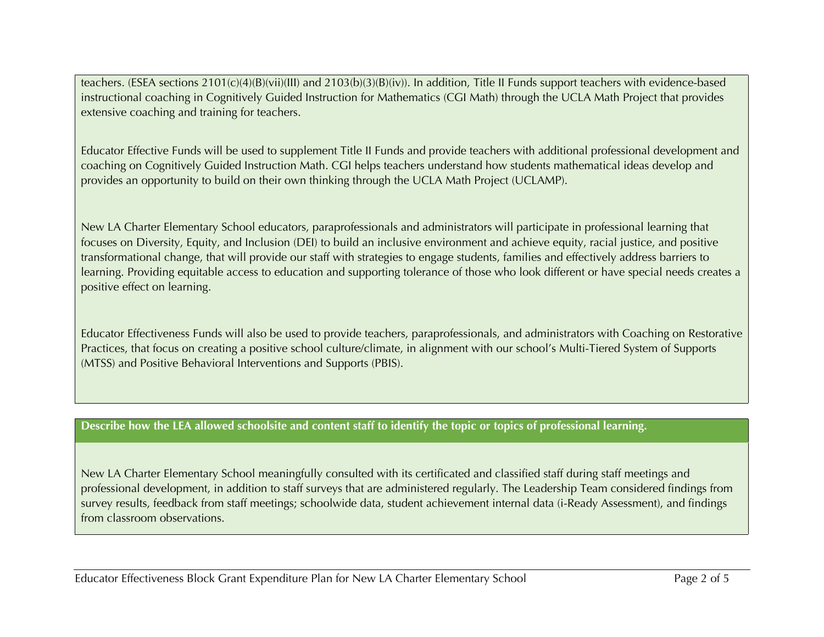teachers. (ESEA sections 2101(c)(4)(B)(vii)(III) and 2103(b)(3)(B)(iv)). In addition, Title II Funds support teachers with evidence-based instructional coaching in Cognitively Guided Instruction for Mathematics (CGI Math) through the UCLA Math Project that provides extensive coaching and training for teachers.

Educator Effective Funds will be used to supplement Title II Funds and provide teachers with additional professional development and coaching on Cognitively Guided Instruction Math. CGI helps teachers understand how students mathematical ideas develop and provides an opportunity to build on their own thinking through the UCLA Math Project (UCLAMP).

New LA Charter Elementary School educators, paraprofessionals and administrators will participate in professional learning that focuses on Diversity, Equity, and Inclusion (DEI) to build an inclusive environment and achieve equity, racial justice, and positive transformational change, that will provide our staff with strategies to engage students, families and effectively address barriers to learning. Providing equitable access to education and supporting tolerance of those who look different or have special needs creates a positive effect on learning.

Educator Effectiveness Funds will also be used to provide teachers, paraprofessionals, and administrators with Coaching on Restorative Practices, that focus on creating a positive school culture/climate, in alignment with our school's Multi-Tiered System of Supports (MTSS) and Positive Behavioral Interventions and Supports (PBIS).

## **Describe how the LEA allowed schoolsite and content staff to identify the topic or topics of professional learning.**

New LA Charter Elementary School meaningfully consulted with its certificated and classified staff during staff meetings and professional development, in addition to staff surveys that are administered regularly. The Leadership Team considered findings from survey results, feedback from staff meetings; schoolwide data, student achievement internal data (i-Ready Assessment), and findings from classroom observations.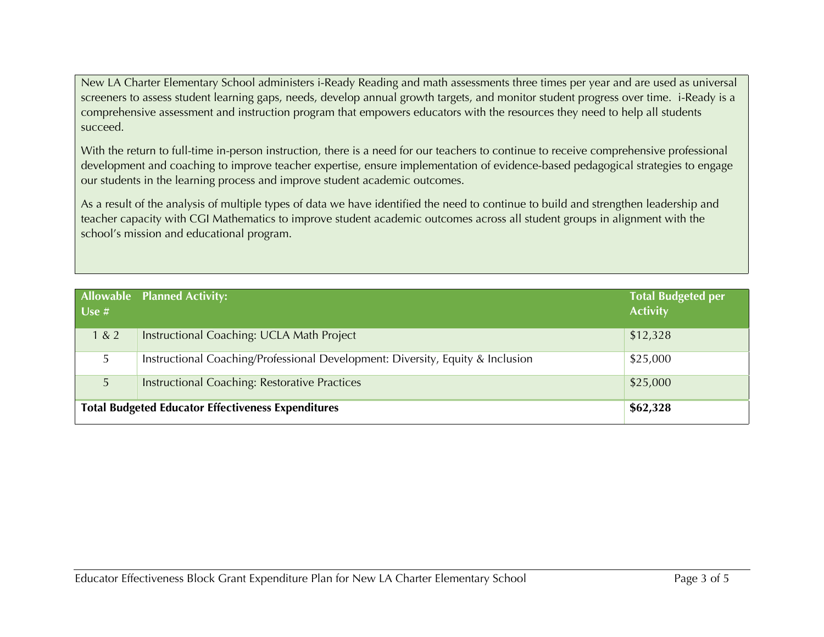New LA Charter Elementary School administers i-Ready Reading and math assessments three times per year and are used as universal screeners to assess student learning gaps, needs, develop annual growth targets, and monitor student progress over time. i-Ready is a comprehensive assessment and instruction program that empowers educators with the resources they need to help all students succeed.

With the return to full-time in-person instruction, there is a need for our teachers to continue to receive comprehensive professional development and coaching to improve teacher expertise, ensure implementation of evidence-based pedagogical strategies to engage our students in the learning process and improve student academic outcomes.

As a result of the analysis of multiple types of data we have identified the need to continue to build and strengthen leadership and teacher capacity with CGI Mathematics to improve student academic outcomes across all student groups in alignment with the school's mission and educational program.

| Use $#$                                                   | <b>Allowable Planned Activity:</b>                                             | <b>Total Budgeted per</b><br><b>Activity</b> |
|-----------------------------------------------------------|--------------------------------------------------------------------------------|----------------------------------------------|
| 1 & 2                                                     | Instructional Coaching: UCLA Math Project                                      | \$12,328                                     |
| 5                                                         | Instructional Coaching/Professional Development: Diversity, Equity & Inclusion | \$25,000                                     |
| 5                                                         | <b>Instructional Coaching: Restorative Practices</b>                           | \$25,000                                     |
| <b>Total Budgeted Educator Effectiveness Expenditures</b> |                                                                                | \$62,328                                     |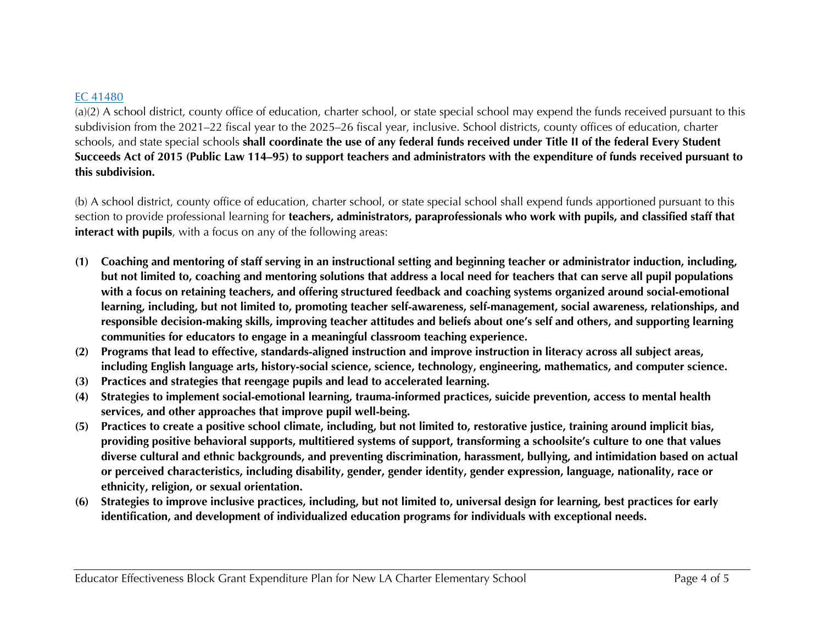## EC 41480

(a)(2) A school district, county office of education, charter school, or state special school may expend the funds received pursuant to this subdivision from the 2021–22 fiscal year to the 2025–26 fiscal year, inclusive. School districts, county offices of education, charter schools, and state special schools **shall coordinate the use of any federal funds received under Title II of the federal Every Student Succeeds Act of 2015 (Public Law 114–95) to support teachers and administrators with the expenditure of funds received pursuant to this subdivision.**

(b) A school district, county office of education, charter school, or state special school shall expend funds apportioned pursuant to this section to provide professional learning for **teachers, administrators, paraprofessionals who work with pupils, and classified staff that interact with pupils**, with a focus on any of the following areas:

- **(1) Coaching and mentoring of staff serving in an instructional setting and beginning teacher or administrator induction, including, but not limited to, coaching and mentoring solutions that address a local need for teachers that can serve all pupil populations with a focus on retaining teachers, and offering structured feedback and coaching systems organized around social-emotional learning, including, but not limited to, promoting teacher self-awareness, self-management, social awareness, relationships, and responsible decision-making skills, improving teacher attitudes and beliefs about one's self and others, and supporting learning communities for educators to engage in a meaningful classroom teaching experience.**
- **(2) Programs that lead to effective, standards-aligned instruction and improve instruction in literacy across all subject areas, including English language arts, history-social science, science, technology, engineering, mathematics, and computer science.**
- **(3) Practices and strategies that reengage pupils and lead to accelerated learning.**
- **(4) Strategies to implement social-emotional learning, trauma-informed practices, suicide prevention, access to mental health services, and other approaches that improve pupil well-being.**
- **(5) Practices to create a positive school climate, including, but not limited to, restorative justice, training around implicit bias, providing positive behavioral supports, multitiered systems of support, transforming a schoolsite's culture to one that values diverse cultural and ethnic backgrounds, and preventing discrimination, harassment, bullying, and intimidation based on actual or perceived characteristics, including disability, gender, gender identity, gender expression, language, nationality, race or ethnicity, religion, or sexual orientation.**
- **(6) Strategies to improve inclusive practices, including, but not limited to, universal design for learning, best practices for early identification, and development of individualized education programs for individuals with exceptional needs.**